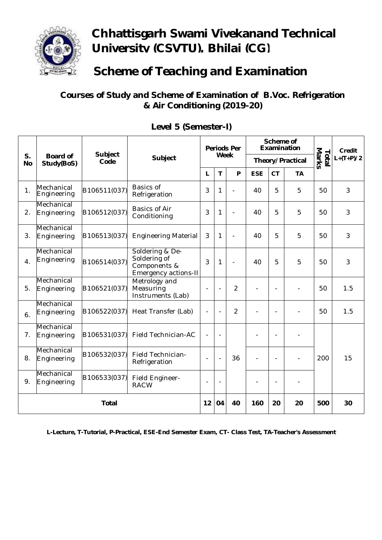

## **Chhattisgarh Swami Vivekanand Technical University (CSVTU), Bhilai (CG)**

**Scheme of Teaching and Examination**

**Courses of Study and Scheme of Examination of B.Voc. Refrigeration & Air Conditioning (2019-20)**

| S.<br><b>No</b> | <b>Board of</b><br>Study(BoS) | <b>Subject</b><br>Code | <b>Subject</b>                                                          | <b>Periods Per</b><br><b>Week</b> |                          |                | Scheme of<br><b>Examination</b> |                          |           | Marks<br>Total | Credit<br>$L+(T+P)/2$ |
|-----------------|-------------------------------|------------------------|-------------------------------------------------------------------------|-----------------------------------|--------------------------|----------------|---------------------------------|--------------------------|-----------|----------------|-----------------------|
|                 |                               |                        |                                                                         |                                   |                          |                | Theory/Practical                |                          |           |                |                       |
|                 |                               |                        |                                                                         | L                                 | $\mathsf{T}$             | P              | <b>ESE</b>                      | <b>CT</b>                | <b>TA</b> |                |                       |
| 1.              | Mechanical<br>Engineering     | B106511(037)           | <b>Basics of</b><br>Refrigeration                                       | 3                                 | 1                        | L,             | 40                              | 5                        | 5         | 50             | 3                     |
| 2.              | Mechanical<br>Engineering     | B106512(037)           | <b>Basics of Air</b><br>Conditioning                                    | 3                                 | 1                        | ä,             | 40                              | 5                        | 5         | 50             | 3                     |
| 3.              | Mechanical<br>Engineering     | B106513(037)           | <b>Engineering Material</b>                                             | 3                                 | 1                        | $\overline{a}$ | 40                              | 5                        | 5         | 50             | 3                     |
| 4.              | Mechanical<br>Engineering     | B106514(037)           | Soldering & De-<br>Soldering of<br>Components &<br>Emergency actions-II | 3                                 | 1                        | ä,             | 40                              | 5                        | 5         | 50             | 3                     |
| 5.              | Mechanical<br>Engineering     | B106521(037)           | Metrology and<br>Measuring<br>Instruments (Lab)                         |                                   |                          | $\overline{2}$ |                                 |                          |           | 50             | 1.5                   |
| 6.              | Mechanical<br>Engineering     | B106522(037)           | Heat Transfer (Lab)                                                     |                                   |                          | $\overline{2}$ |                                 |                          |           | 50             | 1.5                   |
| 7.              | Mechanical<br>Engineering     | B106531(037)           | Field Technician-AC                                                     | $\blacksquare$                    | $\overline{\phantom{a}}$ |                |                                 | $\overline{\phantom{a}}$ |           |                |                       |
| 8.              | Mechanical<br>Engineering     | B106532(037)           | Field Technician-<br>Refrigeration                                      |                                   | $\overline{\phantom{a}}$ | 36             | $\blacksquare$                  | $\blacksquare$           |           | 200            | 15                    |
| 9.              | Mechanical<br>Engineering     | B106533(037)           | Field Engineer-<br><b>RACW</b>                                          |                                   | ٠                        |                |                                 | $\blacksquare$           |           |                |                       |
| <b>Total</b>    |                               |                        |                                                                         | 12                                | 04                       | 40             | 160                             | 20                       | 20        | 500            | 30                    |

**Level 5 (Semester-I)**

**L-Lecture, T-Tutorial, P-Practical, ESE-End Semester Exam, CT- Class Test, TA-Teacher's Assessment**